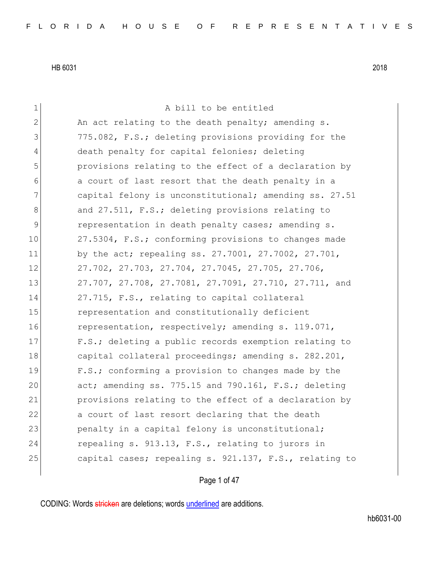1 a bill to be entitled 2 An act relating to the death penalty; amending s. 3 775.082, F.S.; deleting provisions providing for the 4 death penalty for capital felonies; deleting 5 provisions relating to the effect of a declaration by 6 6 6 6 a court of last resort that the death penalty in a 7 capital felony is unconstitutional; amending ss. 27.51 8 and 27.511, F.S.; deleting provisions relating to 9 representation in death penalty cases; amending s. 10 27.5304, F.S.; conforming provisions to changes made 11 by the act; repealing ss. 27.7001, 27.7002, 27.701, 12 27.702, 27.703, 27.704, 27.7045, 27.705, 27.706, 13 27.707, 27.708, 27.7081, 27.7091, 27.710, 27.711, and 14 27.715, F.S., relating to capital collateral 15 **representation and constitutionally deficient** 16 representation, respectively; amending s. 119.071, 17 **F.S.;** deleting a public records exemption relating to 18 capital collateral proceedings; amending s. 282.201, 19 **F.S.;** conforming a provision to changes made by the 20 act; amending ss. 775.15 and 790.161, F.S.; deleting 21 provisions relating to the effect of a declaration by 22 a court of last resort declaring that the death 23 penalty in a capital felony is unconstitutional; 24 repealing s. 913.13, F.S., relating to jurors in 25 capital cases; repealing s. 921.137, F.S., relating to

Page 1 of 47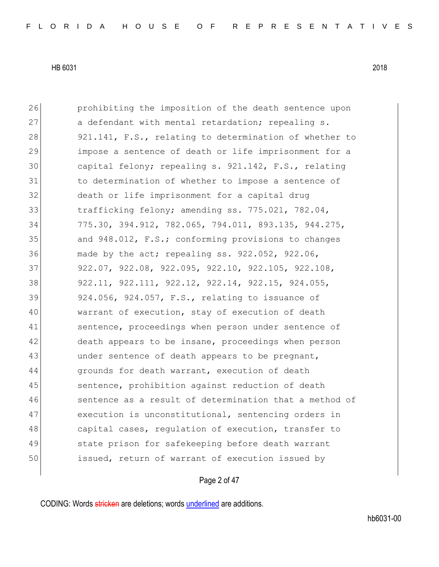26 prohibiting the imposition of the death sentence upon 27 a defendant with mental retardation; repealing s. 28 921.141, F.S., relating to determination of whether to 29 impose a sentence of death or life imprisonment for a 30 capital felony; repealing s. 921.142, F.S., relating 31 1 to determination of whether to impose a sentence of 32 death or life imprisonment for a capital drug 33 trafficking felony; amending ss. 775.021, 782.04, 34 775.30, 394.912, 782.065, 794.011, 893.135, 944.275, 35 and 948.012, F.S.; conforming provisions to changes 36 made by the act; repealing ss. 922.052, 922.06, 37 922.07, 922.08, 922.095, 922.10, 922.105, 922.108, 38 922.11, 922.111, 922.12, 922.14, 922.15, 924.055, 39 924.056, 924.057, F.S., relating to issuance of 40 warrant of execution, stay of execution of death 41 sentence, proceedings when person under sentence of 42 death appears to be insane, proceedings when person 43 under sentence of death appears to be pregnant, 44 qrounds for death warrant, execution of death 45 sentence, prohibition against reduction of death 46 sentence as a result of determination that a method of 47 execution is unconstitutional, sentencing orders in 48 capital cases, regulation of execution, transfer to 49 state prison for safekeeping before death warrant 50 issued, return of warrant of execution issued by

#### Page 2 of 47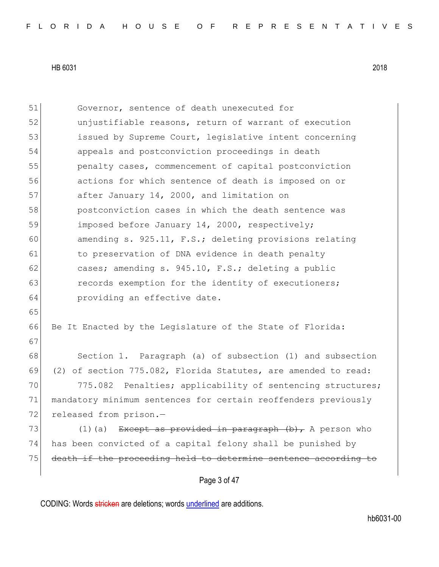Page 3 of 47 51 Governor, sentence of death unexecuted for 52 unjustifiable reasons, return of warrant of execution 53 issued by Supreme Court, legislative intent concerning 54 appeals and postconviction proceedings in death 55 penalty cases, commencement of capital postconviction 56 actions for which sentence of death is imposed on or 57 after January 14, 2000, and limitation on 58 postconviction cases in which the death sentence was 59 imposed before January 14, 2000, respectively; 60 amending s. 925.11, F.S.; deleting provisions relating 61 to preservation of DNA evidence in death penalty 62 cases; amending s. 945.10, F.S.; deleting a public 63 records exemption for the identity of executioners; 64 **providing an effective date.** 65 66 Be It Enacted by the Legislature of the State of Florida: 67 68 Section 1. Paragraph (a) of subsection (1) and subsection 69 (2) of section 775.082, Florida Statutes, are amended to read: 70 775.082 Penalties; applicability of sentencing structures; 71 mandatory minimum sentences for certain reoffenders previously 72 released from prison.-73 (1)(a) Except as provided in paragraph  $(b)$ , A person who 74 has been convicted of a capital felony shall be punished by 75 death if the proceeding held to determine sentence according to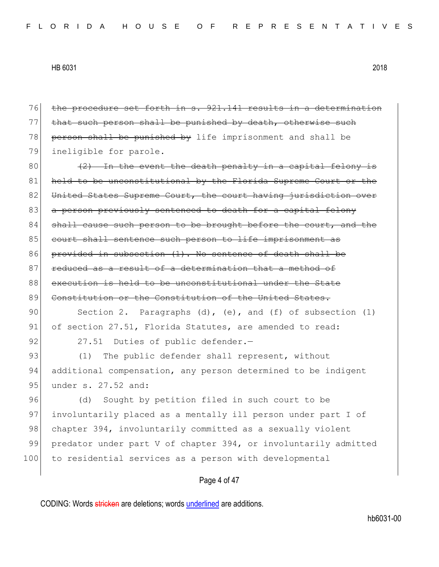| 76  | the procedure set forth in s. 921.141 results in a determination    |
|-----|---------------------------------------------------------------------|
| 77  | that such person shall be punished by death, otherwise such         |
| 78  | person shall be punished by life imprisonment and shall be          |
| 79  | ineligible for parole.                                              |
| 80  | $(2)$ In the event the death penalty in a capital felony is         |
| 81  | held to be unconstitutional by the Florida Supreme Court or the     |
| 82  | United States Supreme Court, the court having jurisdiction over     |
| 83  | a person previously sentenced to death for a capital felony         |
| 84  | shall cause such person to be brought before the court, and the     |
| 85  | court shall sentence such person to life imprisonment as            |
| 86  | provided in subsection (1). No sentence of death shall be           |
| 87  | reduced as a result of a determination that a method of             |
| 88  | execution is held to be unconstitutional under the State            |
| 89  | Constitution or the Constitution of the United States.              |
| 90  | Section 2. Paragraphs $(d)$ , $(e)$ , and $(f)$ of subsection $(1)$ |
| 91  | of section 27.51, Florida Statutes, are amended to read:            |
| 92  | 27.51 Duties of public defender.-                                   |
| 93  | The public defender shall represent, without<br>(1)                 |
| 94  | additional compensation, any person determined to be indigent       |
| 95  | under s. 27.52 and:                                                 |
| 96  | Sought by petition filed in such court to be<br>(d)                 |
| 97  | involuntarily placed as a mentally ill person under part I of       |
| 98  | chapter 394, involuntarily committed as a sexually violent          |
| 99  | predator under part V of chapter 394, or involuntarily admitted     |
| 100 | to residential services as a person with developmental              |
|     |                                                                     |
|     | Page 4 of 47                                                        |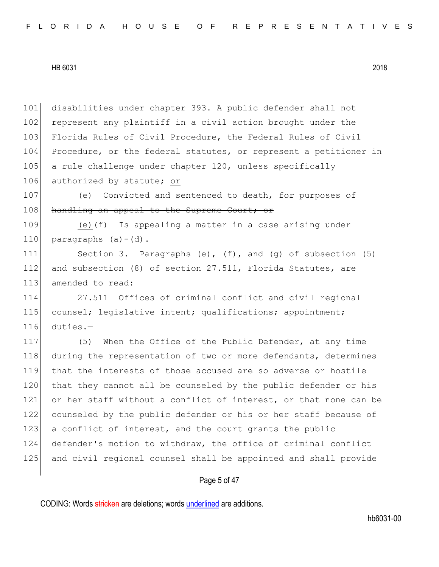101 disabilities under chapter 393. A public defender shall not 102 represent any plaintiff in a civil action brought under the 103 Florida Rules of Civil Procedure, the Federal Rules of Civil 104 Procedure, or the federal statutes, or represent a petitioner in 105 a rule challenge under chapter 120, unless specifically 106 authorized by statute; or

107 (e) Convicted and sentenced to death, for purposes of 108 handling an appeal to the Supreme Court; or

109 (e) $(f+$  Is appealing a matter in a case arising under 110 paragraphs  $(a) - (d)$ .

111 Section 3. Paragraphs (e), (f), and (g) of subsection (5) 112 and subsection (8) of section 27.511, Florida Statutes, are 113 amended to read:

114 27.511 Offices of criminal conflict and civil regional 115 counsel; legislative intent; qualifications; appointment; 116 duties.—

117 (5) When the Office of the Public Defender, at any time 118 during the representation of two or more defendants, determines 119 that the interests of those accused are so adverse or hostile 120 that they cannot all be counseled by the public defender or his 121 or her staff without a conflict of interest, or that none can be 122 counseled by the public defender or his or her staff because of 123 a conflict of interest, and the court grants the public 124 defender's motion to withdraw, the office of criminal conflict 125 and civil regional counsel shall be appointed and shall provide

## Page 5 of 47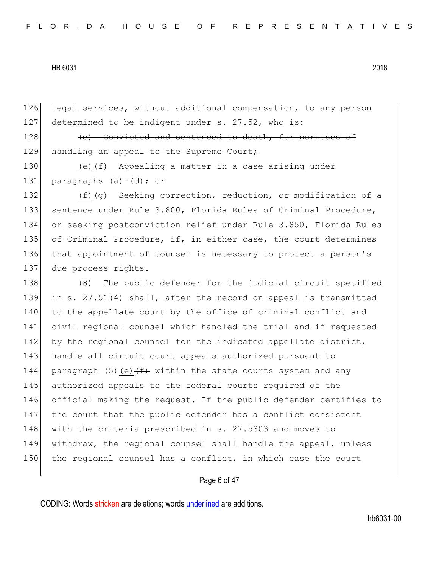126 legal services, without additional compensation, to any person 127 determined to be indigent under s. 27.52, who is:

128 (e) Convicted and sentenced to death, for purposes of 129 handling an appeal to the Supreme Court;

130 (e) $(f)$  Appealing a matter in a case arising under 131 paragraphs  $(a) - (d)$ ; or

132 (f) (g) Seeking correction, reduction, or modification of a 133 sentence under Rule 3.800, Florida Rules of Criminal Procedure, 134 or seeking postconviction relief under Rule 3.850, Florida Rules 135 of Criminal Procedure, if, in either case, the court determines 136 that appointment of counsel is necessary to protect a person's 137 due process rights.

138 (8) The public defender for the judicial circuit specified 139 in s. 27.51(4) shall, after the record on appeal is transmitted 140 to the appellate court by the office of criminal conflict and 141 civil regional counsel which handled the trial and if requested 142 by the regional counsel for the indicated appellate district, 143 handle all circuit court appeals authorized pursuant to 144 paragraph (5)(e) $(f)$  within the state courts system and any 145 authorized appeals to the federal courts required of the 146 official making the request. If the public defender certifies to 147 the court that the public defender has a conflict consistent 148 with the criteria prescribed in s. 27.5303 and moves to 149 withdraw, the regional counsel shall handle the appeal, unless 150 the regional counsel has a conflict, in which case the court

## Page 6 of 47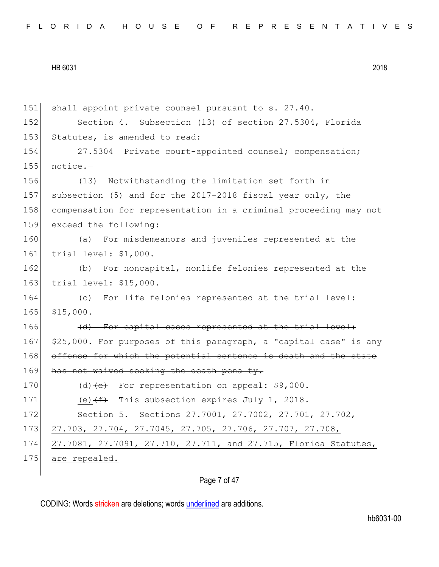151 shall appoint private counsel pursuant to s. 27.40. 152 Section 4. Subsection (13) of section 27.5304, Florida 153 Statutes, is amended to read: 154 27.5304 Private court-appointed counsel; compensation;  $155$  notice.-156 (13) Notwithstanding the limitation set forth in 157 subsection (5) and for the 2017-2018 fiscal year only, the 158 compensation for representation in a criminal proceeding may not 159 exceed the following: 160 (a) For misdemeanors and juveniles represented at the 161 trial level: \$1,000. 162 (b) For noncapital, nonlife felonies represented at the 163 trial level: \$15,000. 164 (c) For life felonies represented at the trial level: 165 \$15,000. 166 (d) For capital cases represented at the trial level: 167 \$25,000. For purposes of this paragraph, a "capital case" is any 168 offense for which the potential sentence is death and the state 169 has not waived seeking the death penalty. 170 (d)  $\left\{ \begin{matrix} e \\ e \end{matrix} \right\}$  For representation on appeal: \$9,000. 171 (e) $(f)$  This subsection expires July 1, 2018. 172 Section 5. Sections 27.7001, 27.7002, 27.701, 27.702, 173 27.703, 27.704, 27.7045, 27.705, 27.706, 27.707, 27.708, 174 27.7081, 27.7091, 27.710, 27.711, and 27.715, Florida Statutes, 175 are repealed.

## Page 7 of 47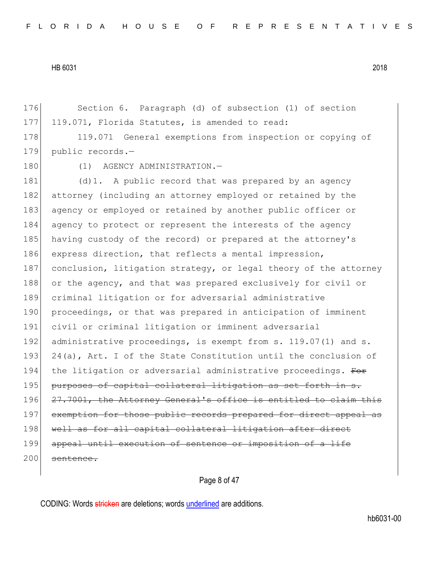176 Section 6. Paragraph (d) of subsection (1) of section 177 119.071, Florida Statutes, is amended to read:

178 119.071 General exemptions from inspection or copying of 179 public records.—

180 (1) AGENCY ADMINISTRATION.-

181 (d)1. A public record that was prepared by an agency 182 attorney (including an attorney employed or retained by the 183 agency or employed or retained by another public officer or 184 agency to protect or represent the interests of the agency 185 having custody of the record) or prepared at the attorney's 186 express direction, that reflects a mental impression, 187 conclusion, litigation strategy, or legal theory of the attorney 188 or the agency, and that was prepared exclusively for civil or 189 criminal litigation or for adversarial administrative 190 proceedings, or that was prepared in anticipation of imminent 191 civil or criminal litigation or imminent adversarial 192 administrative proceedings, is exempt from s. 119.07(1) and s. 193 24(a), Art. I of the State Constitution until the conclusion of 194 the litigation or adversarial administrative proceedings. For 195 purposes of capital collateral litigation as set forth in s. 196 27.7001, the Attorney General's office is entitled to claim this 197 exemption for those public records prepared for direct appeal as 198 well as for all capital collateral litigation after direct 199 appeal until execution of sentence or imposition of a life 200 sentence.

## Page 8 of 47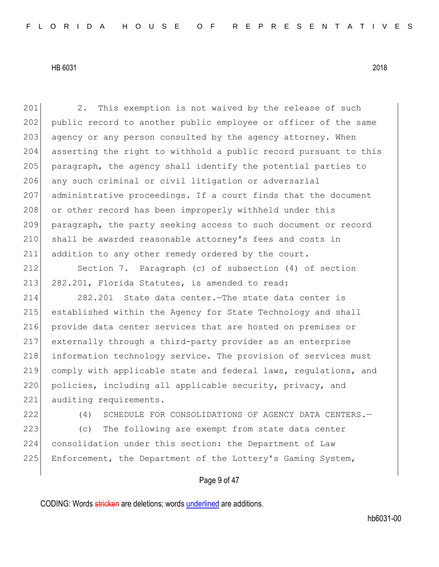201 2. This exemption is not waived by the release of such 202 public record to another public employee or officer of the same 203 agency or any person consulted by the agency attorney. When 204 asserting the right to withhold a public record pursuant to this 205 paragraph, the agency shall identify the potential parties to 206 any such criminal or civil litigation or adversarial 207 administrative proceedings. If a court finds that the document 208 or other record has been improperly withheld under this 209 paragraph, the party seeking access to such document or record 210 shall be awarded reasonable attorney's fees and costs in 211 addition to any other remedy ordered by the court.

212 Section 7. Paragraph (c) of subsection (4) of section 213 282.201, Florida Statutes, is amended to read:

214 282.201 State data center.—The state data center is 215 established within the Agency for State Technology and shall 216 provide data center services that are hosted on premises or 217 externally through a third-party provider as an enterprise 218 information technology service. The provision of services must 219 comply with applicable state and federal laws, regulations, and 220 policies, including all applicable security, privacy, and 221 auditing requirements.

222 (4) SCHEDULE FOR CONSOLIDATIONS OF AGENCY DATA CENTERS.—

223 (c) The following are exempt from state data center 224 consolidation under this section: the Department of Law 225 Enforcement, the Department of the Lottery's Gaming System,

Page 9 of 47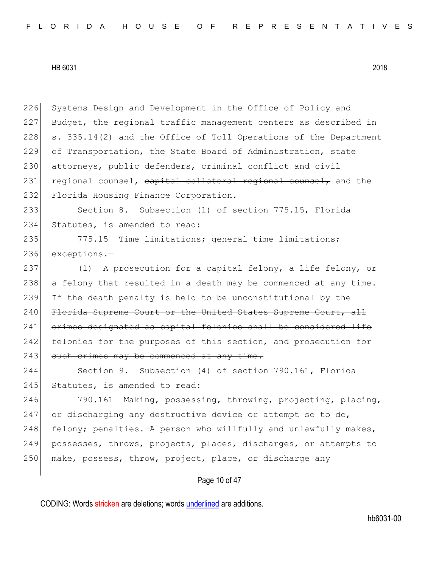226 Systems Design and Development in the Office of Policy and 227 Budget, the regional traffic management centers as described in 228  $\mid$  s. 335.14(2) and the Office of Toll Operations of the Department 229 of Transportation, the State Board of Administration, state 230 attorneys, public defenders, criminal conflict and civil 231 regional counsel, capital collateral regional counsel, and the 232 Florida Housing Finance Corporation.

233 Section 8. Subsection (1) of section 775.15, Florida 234 Statutes, is amended to read:

235 775.15 Time limitations; general time limitations; 236 exceptions.—

237 (1) A prosecution for a capital felony, a life felony, or 238 a felony that resulted in a death may be commenced at any time.  $239$  If the death penalty is held to be unconstitutional by the 240 Florida Supreme Court or the United States Supreme Court, all 241 crimes designated as capital felonies shall be considered life 242 felonies for the purposes of this section, and prosecution for 243 such crimes may be commenced at any time.

244 Section 9. Subsection (4) of section 790.161, Florida 245 Statutes, is amended to read:

246 790.161 Making, possessing, throwing, projecting, placing, 247 or discharging any destructive device or attempt so to do, 248 felony; penalties.—A person who willfully and unlawfully makes, 249 possesses, throws, projects, places, discharges, or attempts to 250 make, possess, throw, project, place, or discharge any

Page 10 of 47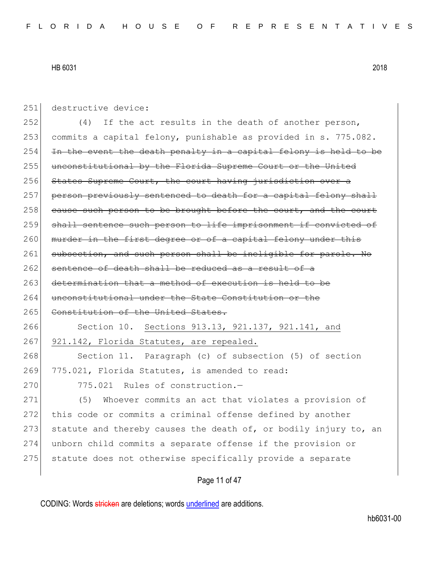| 251 | destructive device:                                              |
|-----|------------------------------------------------------------------|
| 252 | If the act results in the death of another person,<br>(4)        |
| 253 | commits a capital felony, punishable as provided in s. 775.082.  |
| 254 | In the event the death penalty in a capital felony is held to be |
| 255 | unconstitutional by the Florida Supreme Court or the United      |
| 256 | States Supreme Court, the court having jurisdiction over a       |
| 257 | person previously sentenced to death for a capital felony shall  |
| 258 | cause such person to be brought before the court, and the court  |
| 259 | shall sentence such person to life imprisonment if convicted of  |
| 260 | murder in the first degree or of a capital felony under this     |
| 261 | subsection, and such person shall be ineligible for parole. No   |
| 262 | sentence of death shall be reduced as a result of a              |
| 263 | determination that a method of execution is held to be           |
| 264 | unconstitutional under the State Constitution or the             |
| 265 | Constitution of the United States.                               |
| 266 | Section 10. Sections 913.13, 921.137, 921.141, and               |
| 267 | 921.142, Florida Statutes, are repealed.                         |
| 268 | Section 11. Paragraph (c) of subsection (5) of section           |
| 269 | 775.021, Florida Statutes, is amended to read:                   |
| 270 | 775.021 Rules of construction.-                                  |
| 271 | (5) Whoever commits an act that violates a provision of          |
| 272 | this code or commits a criminal offense defined by another       |
| 273 | statute and thereby causes the death of, or bodily injury to, an |
| 274 | unborn child commits a separate offense if the provision or      |
| 275 | statute does not otherwise specifically provide a separate       |
|     | Page 11 of 47                                                    |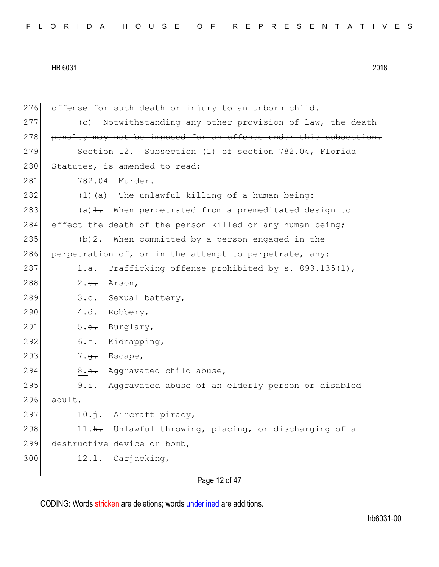276 offense for such death or injury to an unborn child.  $277$  (c) Notwithstanding any other provision of law, the death 278 penalty may not be imposed for an offense under this subsection. 279 Section 12. Subsection (1) of section 782.04, Florida 280 Statutes, is amended to read: 281 782.04 Murder.-282 (1) $\left(\frac{a}{a}\right)$  The unlawful killing of a human being: 283 (a) $\pm$ . When perpetrated from a premeditated design to 284 effect the death of the person killed or any human being; 285 (b)  $2.5$  When committed by a person engaged in the 286 perpetration of, or in the attempt to perpetrate, any: 287 1.<del>a.</del> Trafficking offense prohibited by s. 893.135(1), 288  $2.\overline{b}$ . Arson, 289 3.<del>c.</del> Sexual battery, 290  $4. d.$  Robbery, 291 5.e. Burglary, 292 6. $\epsilon$ . Kidnapping, 293  $7.\overline{g}$ . Escape, 294 8.h. Aggravated child abuse, 295 9.i. Aggravated abuse of an elderly person or disabled  $296$  adult, 297  $10.\frac{1}{1}$ . Aircraft piracy, 298 11.k. Unlawful throwing, placing, or discharging of a 299 destructive device or bomb,  $300$  12.1. Carjacking,

Page 12 of 47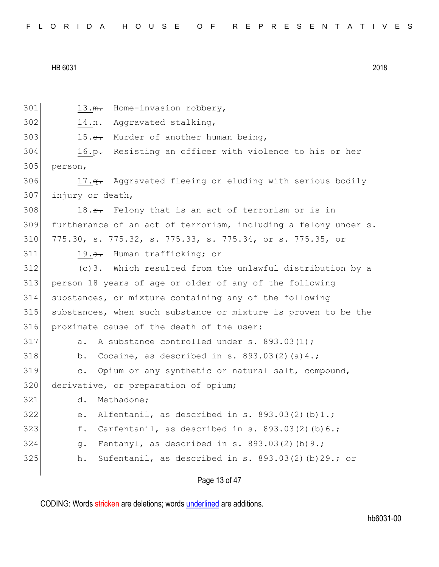301 13.<del>m.</del> Home-invasion robbery, 14.<del>n.</del> Aggravated stalking, 303 15. $\leftrightarrow$  Murder of another human being, 304 16.<del>p.</del> Resisting an officer with violence to his or her 305 person, 306 17.<del>q.</del> Aggravated fleeing or eluding with serious bodily injury or death, 18. $\text{r}$ . Felony that is an act of terrorism or is in furtherance of an act of terrorism, including a felony under s. 775.30, s. 775.32, s. 775.33, s. 775.34, or s. 775.35, or 311 19.<del>s.</del> Human trafficking; or (c)  $3.5$  Which resulted from the unlawful distribution by a person 18 years of age or older of any of the following substances, or mixture containing any of the following substances, when such substance or mixture is proven to be the proximate cause of the death of the user: a. A substance controlled under s.  $893.03(1)$ ; 318 b. Cocaine, as described in s.  $893.03(2)(a)4$ .; c. Opium or any synthetic or natural salt, compound, 320 derivative, or preparation of opium; d. Methadone; e. Alfentanil, as described in s. 893.03(2)(b)1.; f. Carfentanil, as described in s.  $893.03(2)(b)6.$ ; g. Fentanyl, as described in s. 893.03(2)(b)9.; h. Sufentanil, as described in s. 893.03(2)(b)29.; or

# Page 13 of 47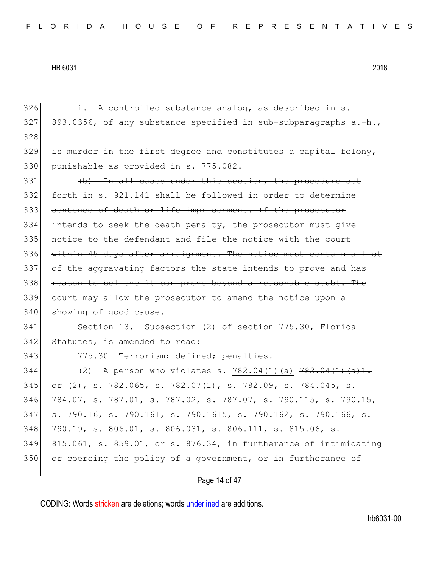| 326 | A controlled substance analog, as described in s.<br>i.                   |
|-----|---------------------------------------------------------------------------|
| 327 | 893.0356, of any substance specified in sub-subparagraphs a.-h.,          |
| 328 |                                                                           |
| 329 | is murder in the first degree and constitutes a capital felony,           |
| 330 | punishable as provided in s. 775.082.                                     |
| 331 | (b) In all cases under this section, the procedure set                    |
| 332 | forth in s. 921.141 shall be followed in order to determine               |
| 333 | sentence of death or life imprisonment. If the prosecutor                 |
| 334 | intends to seek the death penalty, the prosecutor must give               |
| 335 | notice to the defendant and file the notice with the court                |
| 336 | within 45 days after arraignment. The notice must contain a list          |
| 337 | of the aggravating factors the state intends to prove and has             |
| 338 | reason to believe it can prove beyond a reasonable doubt. The             |
| 339 | court may allow the prosecutor to amend the notice upon a                 |
| 340 | showing of good cause.                                                    |
| 341 | Section 13. Subsection (2) of section 775.30, Florida                     |
| 342 | Statutes, is amended to read:                                             |
| 343 | 775.30 Terrorism; defined; penalties.-                                    |
| 344 | A person who violates s. 782.04(1)(a) 782.04(1)(a)1.<br>(2)               |
| 345 | or $(2)$ , s. 782.065, s. 782.07 $(1)$ , s. 782.09, s. 784.045, s.        |
| 346 | 784.07, s. 787.01, s. 787.02, s. 787.07, s. 790.115, s. 790.15,           |
| 347 | s. 790.16, s. 790.161, s. 790.1615, s. 790.162, s. 790.166, s.            |
| 348 | 790.19, s. 806.01, s. 806.031, s. 806.111, s. 815.06, s.                  |
| 349 | $815.061$ , s. $859.01$ , or s. $876.34$ , in furtherance of intimidating |
| 350 | or coercing the policy of a government, or in furtherance of              |
|     | Page 14 of 47                                                             |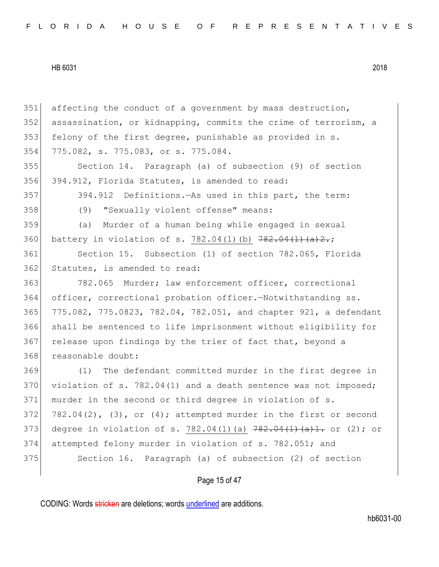| 351 | affecting the conduct of a government by mass destruction,           |
|-----|----------------------------------------------------------------------|
| 352 | assassination, or kidnapping, commits the crime of terrorism, a      |
| 353 | felony of the first degree, punishable as provided in s.             |
| 354 | 775.082, s. 775.083, or s. 775.084.                                  |
| 355 | Section 14. Paragraph (a) of subsection (9) of section               |
| 356 | 394.912, Florida Statutes, is amended to read:                       |
| 357 | 394.912 Definitions. - As used in this part, the term:               |
| 358 | (9)<br>"Sexually violent offense" means:                             |
| 359 | (a)<br>Murder of a human being while engaged in sexual               |
| 360 | battery in violation of s. 782.04(1)(b) $782.04(1)$ (a) $2$ ;        |
| 361 | Section 15. Subsection (1) of section 782.065, Florida               |
| 362 | Statutes, is amended to read:                                        |
| 363 | 782.065 Murder; law enforcement officer, correctional                |
| 364 | officer, correctional probation officer. - Notwithstanding ss.       |
| 365 | 775.082, 775.0823, 782.04, 782.051, and chapter 921, a defendant     |
| 366 | shall be sentenced to life imprisonment without eligibility for      |
| 367 | release upon findings by the trier of fact that, beyond a            |
| 368 | reasonable doubt:                                                    |
| 369 | The defendant committed murder in the first degree in<br>(1)         |
| 370 | violation of s. 782.04(1) and a death sentence was not imposed;      |
| 371 | murder in the second or third degree in violation of s.              |
| 372 | $782.04(2)$ , (3), or (4); attempted murder in the first or second   |
| 373 | degree in violation of s. 782.04(1)(a) $782.04(1)$ (a) 1. or (2); or |
| 374 | attempted felony murder in violation of s. 782.051; and              |
| 375 | Section 16. Paragraph (a) of subsection (2) of section               |
|     |                                                                      |
|     | Page 15 of 47                                                        |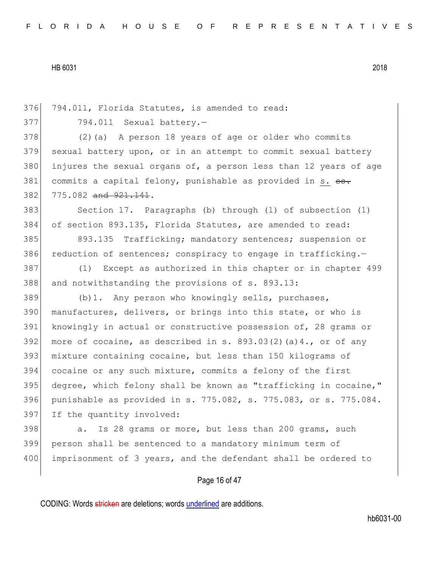376 794.011, Florida Statutes, is amended to read:

377 794.011 Sexual battery.-

378 (2)(a) A person 18 years of age or older who commits 379 sexual battery upon, or in an attempt to commit sexual battery 380 injures the sexual organs of, a person less than 12 years of age 381 commits a capital felony, punishable as provided in s. ss. 382 775.082 and 921.141.

383 Section 17. Paragraphs (b) through (l) of subsection (1) 384 of section 893.135, Florida Statutes, are amended to read:

385 893.135 Trafficking; mandatory sentences; suspension or 386 reduction of sentences; conspiracy to engage in trafficking.-

387 (1) Except as authorized in this chapter or in chapter 499 388 and notwithstanding the provisions of s. 893.13:

 (b)1. Any person who knowingly sells, purchases, 390 manufactures, delivers, or brings into this state, or who is 391 knowingly in actual or constructive possession of, 28 grams or 392 more of cocaine, as described in s. 893.03(2)(a)4., or of any mixture containing cocaine, but less than 150 kilograms of cocaine or any such mixture, commits a felony of the first degree, which felony shall be known as "trafficking in cocaine," punishable as provided in s. 775.082, s. 775.083, or s. 775.084. If the quantity involved:

398 a. Is 28 grams or more, but less than 200 grams, such 399 person shall be sentenced to a mandatory minimum term of 400 imprisonment of 3 years, and the defendant shall be ordered to

## Page 16 of 47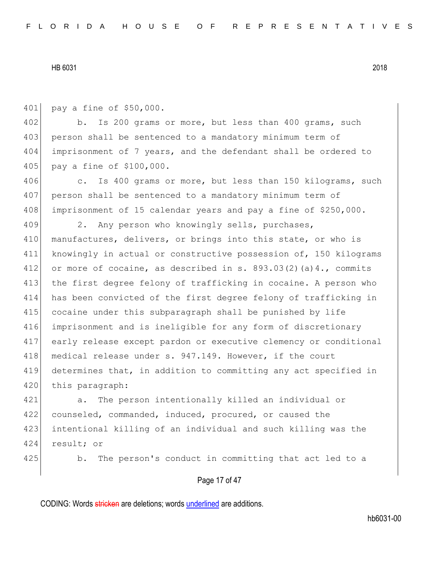401 pay a fine of \$50,000.

402 b. Is 200 grams or more, but less than 400 grams, such 403 person shall be sentenced to a mandatory minimum term of 404 imprisonment of 7 years, and the defendant shall be ordered to 405 pay a fine of \$100,000.

406 c. Is 400 grams or more, but less than 150 kilograms, such 407 person shall be sentenced to a mandatory minimum term of 408 imprisonment of 15 calendar years and pay a fine of \$250,000.

409 2. Any person who knowingly sells, purchases, 410 manufactures, delivers, or brings into this state, or who is 411 knowingly in actual or constructive possession of, 150 kilograms 412 or more of cocaine, as described in s.  $893.03(2)(a)4.$ , commits 413 the first degree felony of trafficking in cocaine. A person who 414 has been convicted of the first degree felony of trafficking in 415 cocaine under this subparagraph shall be punished by life 416 imprisonment and is ineligible for any form of discretionary 417 early release except pardon or executive clemency or conditional 418 medical release under s. 947.149. However, if the court 419 determines that, in addition to committing any act specified in 420 this paragraph:

 a. The person intentionally killed an individual or counseled, commanded, induced, procured, or caused the intentional killing of an individual and such killing was the result; or

425 b. The person's conduct in committing that act led to a

## Page 17 of 47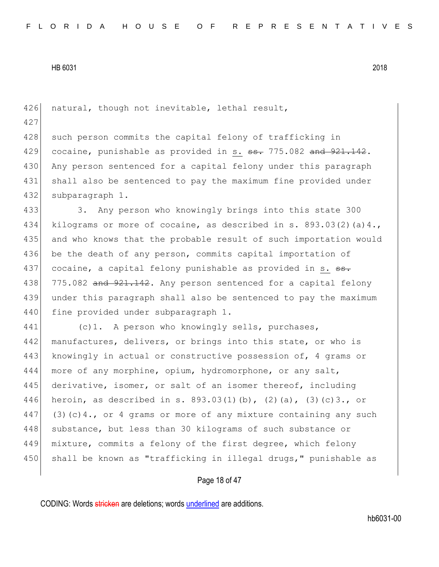426 natural, though not inevitable, lethal result, 427 428 such person commits the capital felony of trafficking in 429 cocaine, punishable as provided in s.  $\frac{1}{100}$  and  $\frac{1}{100}$  and  $\frac{1}{100}$ . 430 Any person sentenced for a capital felony under this paragraph 431 shall also be sentenced to pay the maximum fine provided under 432 subparagraph 1. 433 3. Any person who knowingly brings into this state 300 434 kilograms or more of cocaine, as described in s. 893.03(2)(a)4., 435 and who knows that the probable result of such importation would 436 be the death of any person, commits capital importation of 437 cocaine, a capital felony punishable as provided in s. ss. 438 775.082 and 921.142. Any person sentenced for a capital felony 439 under this paragraph shall also be sentenced to pay the maximum 440 fine provided under subparagraph 1. 441 (c)1. A person who knowingly sells, purchases, 442 manufactures, delivers, or brings into this state, or who is 443 knowingly in actual or constructive possession of, 4 grams or 444 more of any morphine, opium, hydromorphone, or any salt, 445 derivative, isomer, or salt of an isomer thereof, including 446 heroin, as described in s. 893.03(1)(b), (2)(a), (3)(c)3., or 447 (3)(c)4., or 4 grams or more of any mixture containing any such 448 substance, but less than 30 kilograms of such substance or 449 mixture, commits a felony of the first degree, which felony 450 shall be known as "trafficking in illegal drugs," punishable as

## Page 18 of 47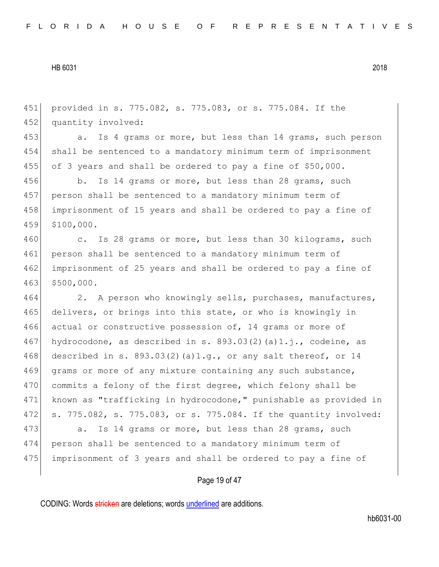451 provided in s. 775.082, s. 775.083, or s. 775.084. If the 452 quantity involved: 453 a. Is 4 grams or more, but less than 14 grams, such person 454 shall be sentenced to a mandatory minimum term of imprisonment 455 of 3 years and shall be ordered to pay a fine of \$50,000. 456 b. Is 14 grams or more, but less than 28 grams, such 457 person shall be sentenced to a mandatory minimum term of 458 imprisonment of 15 years and shall be ordered to pay a fine of 459 \$100,000. 460 c. Is 28 grams or more, but less than 30 kilograms, such 461 person shall be sentenced to a mandatory minimum term of 462 imprisonment of 25 years and shall be ordered to pay a fine of 463 \$500,000. 464 2. A person who knowingly sells, purchases, manufactures, 465 delivers, or brings into this state, or who is knowingly in 466 actual or constructive possession of, 14 grams or more of 467 hydrocodone, as described in s.  $893.03(2)(a)1.j.$ , codeine, as 468 described in s. 893.03(2)(a)1.g., or any salt thereof, or 14 469 grams or more of any mixture containing any such substance, 470 commits a felony of the first degree, which felony shall be 471 known as "trafficking in hydrocodone," punishable as provided in 472 s. 775.082, s. 775.083, or s. 775.084. If the quantity involved: 473 a. Is 14 grams or more, but less than 28 grams, such 474 person shall be sentenced to a mandatory minimum term of

Page 19 of 47

475 imprisonment of 3 years and shall be ordered to pay a fine of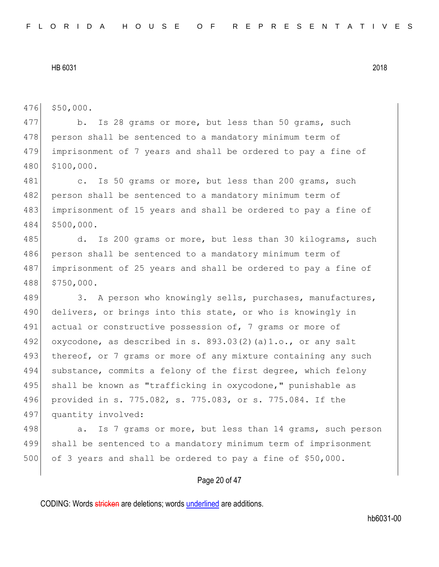476 \$50,000.

477 b. Is 28 grams or more, but less than 50 grams, such 478 person shall be sentenced to a mandatory minimum term of 479 imprisonment of 7 years and shall be ordered to pay a fine of 480 \$100,000.

481 c. Is 50 grams or more, but less than 200 grams, such 482 person shall be sentenced to a mandatory minimum term of 483 imprisonment of 15 years and shall be ordered to pay a fine of 484 \$500,000.

485 d. Is 200 grams or more, but less than 30 kilograms, such 486 person shall be sentenced to a mandatory minimum term of 487 imprisonment of 25 years and shall be ordered to pay a fine of 488 \$750,000.

489 3. A person who knowingly sells, purchases, manufactures, 490 delivers, or brings into this state, or who is knowingly in 491 actual or constructive possession of, 7 grams or more of 492 oxycodone, as described in s.  $893.03(2)(a)1.o.,$  or any salt 493 thereof, or 7 grams or more of any mixture containing any such 494 substance, commits a felony of the first degree, which felony 495 shall be known as "trafficking in oxycodone," punishable as 496 provided in s. 775.082, s. 775.083, or s. 775.084. If the 497 quantity involved:

498 a. Is 7 grams or more, but less than 14 grams, such person 499 shall be sentenced to a mandatory minimum term of imprisonment 500 of 3 years and shall be ordered to pay a fine of \$50,000.

## Page 20 of 47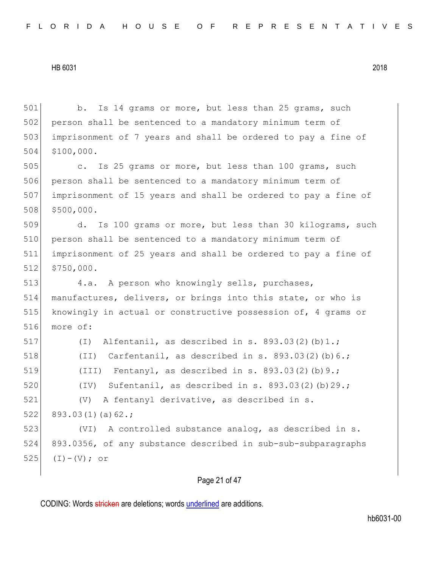501 b. Is 14 grams or more, but less than 25 grams, such 502 person shall be sentenced to a mandatory minimum term of imprisonment of 7 years and shall be ordered to pay a fine of \$100,000. c. Is 25 grams or more, but less than 100 grams, such person shall be sentenced to a mandatory minimum term of imprisonment of 15 years and shall be ordered to pay a fine of \$500,000. 509 d. Is 100 grams or more, but less than 30 kilograms, such 510 person shall be sentenced to a mandatory minimum term of imprisonment of 25 years and shall be ordered to pay a fine of \$750,000. 513 4.a. A person who knowingly sells, purchases, manufactures, delivers, or brings into this state, or who is knowingly in actual or constructive possession of, 4 grams or 516 more of:  $(I)$  Alfentanil, as described in s. 893.03(2)(b)1.;  $(II)$  Carfentanil, as described in s. 893.03(2)(b)6.;  $(III)$  Fentanyl, as described in s. 893.03(2)(b)9.;  $(IV)$  Sufentanil, as described in s. 893.03(2)(b)29.; (V) A fentanyl derivative, as described in s. 893.03(1)(a)62.; 523 (VI) A controlled substance analog, as described in s. 893.0356, of any substance described in sub-sub-subparagraphs  $(I) - (V)$ ; or

# Page 21 of 47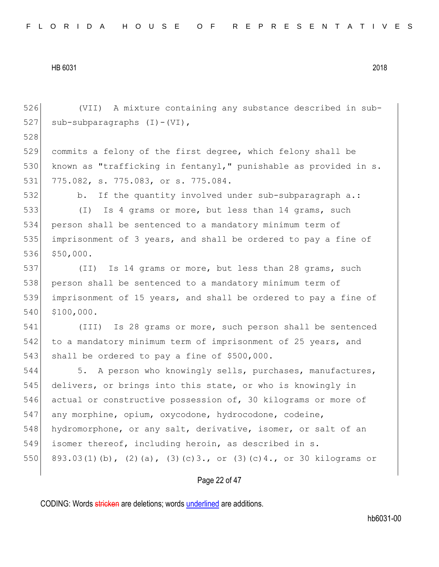(VII) A mixture containing any substance described in sub-527 sub-subparagraphs  $(I) - (VI)$ , 528 commits a felony of the first degree, which felony shall be 530 known as "trafficking in fentanyl," punishable as provided in s. 775.082, s. 775.083, or s. 775.084. b. If the quantity involved under sub-subparagraph a.: (I) Is 4 grams or more, but less than 14 grams, such person shall be sentenced to a mandatory minimum term of imprisonment of 3 years, and shall be ordered to pay a fine of 536 \$50,000. (II) Is 14 grams or more, but less than 28 grams, such 538 person shall be sentenced to a mandatory minimum term of imprisonment of 15 years, and shall be ordered to pay a fine of \$100,000. (III) Is 28 grams or more, such person shall be sentenced 542 to a mandatory minimum term of imprisonment of 25 years, and 543 shall be ordered to pay a fine of \$500,000. 544 5. A person who knowingly sells, purchases, manufactures, delivers, or brings into this state, or who is knowingly in actual or constructive possession of, 30 kilograms or more of any morphine, opium, oxycodone, hydrocodone, codeine, 548 hydromorphone, or any salt, derivative, isomer, or salt of an isomer thereof, including heroin, as described in s. 893.03(1)(b), (2)(a), (3)(c)3., or (3)(c)4., or 30 kilograms or

## Page 22 of 47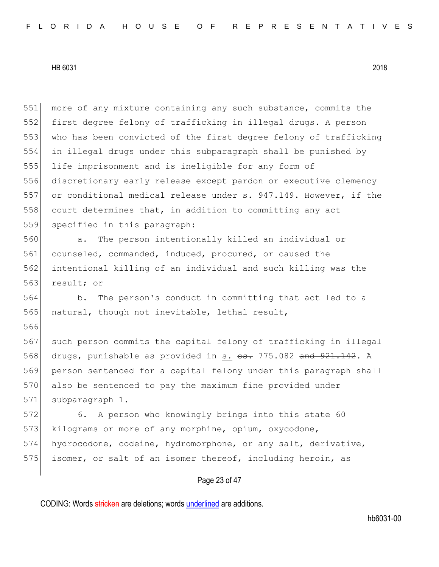566

551 more of any mixture containing any such substance, commits the first degree felony of trafficking in illegal drugs. A person who has been convicted of the first degree felony of trafficking in illegal drugs under this subparagraph shall be punished by life imprisonment and is ineligible for any form of discretionary early release except pardon or executive clemency or conditional medical release under s. 947.149. However, if the 558 court determines that, in addition to committing any act 559 specified in this paragraph:

 a. The person intentionally killed an individual or counseled, commanded, induced, procured, or caused the intentional killing of an individual and such killing was the result; or

564 b. The person's conduct in committing that act led to a 565 natural, though not inevitable, lethal result,

567 such person commits the capital felony of trafficking in illegal 568 drugs, punishable as provided in s. <del>ss.</del> 775.082 and 921.142. A 569 person sentenced for a capital felony under this paragraph shall 570 also be sentenced to pay the maximum fine provided under 571 subparagraph 1.

572 6. A person who knowingly brings into this state 60 573 kilograms or more of any morphine, opium, oxycodone, 574 hydrocodone, codeine, hydromorphone, or any salt, derivative, 575 isomer, or salt of an isomer thereof, including heroin, as

## Page 23 of 47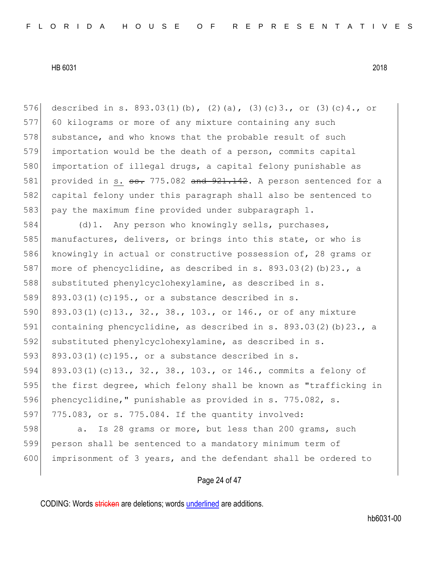576 described in s. 893.03(1)(b), (2)(a), (3)(c)3., or (3)(c)4., or 577 60 kilograms or more of any mixture containing any such 578 substance, and who knows that the probable result of such 579 importation would be the death of a person, commits capital 580 importation of illegal drugs, a capital felony punishable as 581 provided in s.  $\frac{1}{55}$ . 775.082 and  $\frac{921.142}{1}$ . A person sentenced for a 582 capital felony under this paragraph shall also be sentenced to 583 pay the maximum fine provided under subparagraph 1. 584 (d)1. Any person who knowingly sells, purchases, 585 manufactures, delivers, or brings into this state, or who is 586 knowingly in actual or constructive possession of, 28 grams or 587 more of phencyclidine, as described in s. 893.03(2)(b)23., a 588 substituted phenylcyclohexylamine, as described in s. 589 893.03(1)(c)195., or a substance described in s. 590 893.03(1)(c)13., 32., 38., 103., or 146., or of any mixture 591 containing phencyclidine, as described in s. 893.03(2)(b)23., a 592 substituted phenylcyclohexylamine, as described in s. 593 893.03(1)(c)195., or a substance described in s. 594 893.03(1)(c)13., 32., 38., 103., or 146., commits a felony of 595 the first degree, which felony shall be known as "trafficking in 596 phencyclidine," punishable as provided in s. 775.082, s. 597 775.083, or s. 775.084. If the quantity involved: 598 a. Is 28 grams or more, but less than 200 grams, such 599 person shall be sentenced to a mandatory minimum term of 600 imprisonment of 3 years, and the defendant shall be ordered to

# Page 24 of 47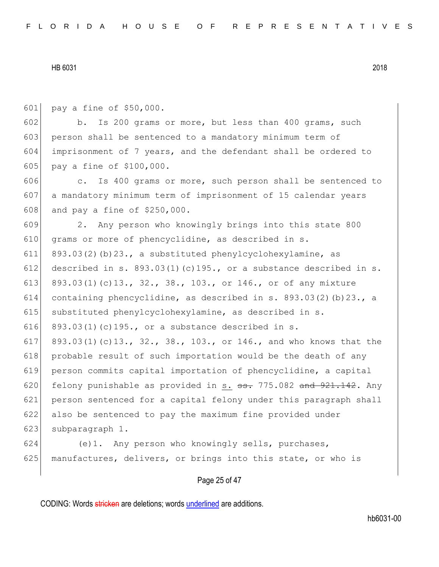601 pay a fine of \$50,000.

602 b. Is 200 grams or more, but less than 400 grams, such 603 person shall be sentenced to a mandatory minimum term of 604 imprisonment of 7 years, and the defendant shall be ordered to 605 pay a fine of \$100,000.

606 c. Is 400 grams or more, such person shall be sentenced to 607 a mandatory minimum term of imprisonment of 15 calendar years 608 and pay a fine of \$250,000.

609 2. Any person who knowingly brings into this state 800 610 grams or more of phencyclidine, as described in s. 611 893.03(2)(b)23., a substituted phenylcyclohexylamine, as 612 described in s. 893.03(1)(c)195., or a substance described in s. 613 893.03(1)(c)13., 32., 38., 103., or 146., or of any mixture 614 containing phencyclidine, as described in s.  $893.03(2)(b)23.$ , a 615 substituted phenylcyclohexylamine, as described in s. 616 893.03(1)(c)195., or a substance described in s. 617 893.03(1)(c)13., 32., 38., 103., or 146., and who knows that the 618 probable result of such importation would be the death of any 619 person commits capital importation of phencyclidine, a capital 620 felony punishable as provided in s.  $\frac{1}{100}$  and  $\frac{1}{100}$   $\frac{1}{100}$   $\frac{1}{100}$   $\frac{1}{100}$   $\frac{1}{100}$   $\frac{1}{100}$ 621 person sentenced for a capital felony under this paragraph shall 622 also be sentenced to pay the maximum fine provided under 623 subparagraph 1.

624 (e)1. Any person who knowingly sells, purchases, 625 manufactures, delivers, or brings into this state, or who is

# Page 25 of 47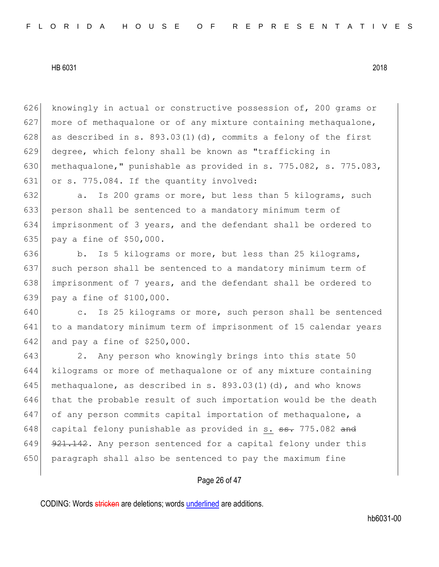626 knowingly in actual or constructive possession of, 200 grams or 627 more of methaqualone or of any mixture containing methaqualone, 628 as described in s.  $893.03(1)(d)$ , commits a felony of the first 629 degree, which felony shall be known as "trafficking in 630 methaqualone," punishable as provided in s. 775.082, s. 775.083, 631 or s. 775.084. If the quantity involved:

632 a. Is 200 grams or more, but less than 5 kilograms, such 633 person shall be sentenced to a mandatory minimum term of 634 imprisonment of 3 years, and the defendant shall be ordered to 635 pay a fine of \$50,000.

636 b. Is 5 kilograms or more, but less than 25 kilograms, such person shall be sentenced to a mandatory minimum term of imprisonment of 7 years, and the defendant shall be ordered to pay a fine of \$100,000.

640 c. Is 25 kilograms or more, such person shall be sentenced 641 to a mandatory minimum term of imprisonment of 15 calendar years 642 and pay a fine of \$250,000.

643 2. Any person who knowingly brings into this state 50 644 kilograms or more of methaqualone or of any mixture containing 645 methaqualone, as described in s.  $893.03(1)(d)$ , and who knows 646 that the probable result of such importation would be the death 647 of any person commits capital importation of methaqualone, a 648 capital felony punishable as provided in s.  $\frac{1}{10}$  775.082 and 649 921.142. Any person sentenced for a capital felony under this 650 paragraph shall also be sentenced to pay the maximum fine

## Page 26 of 47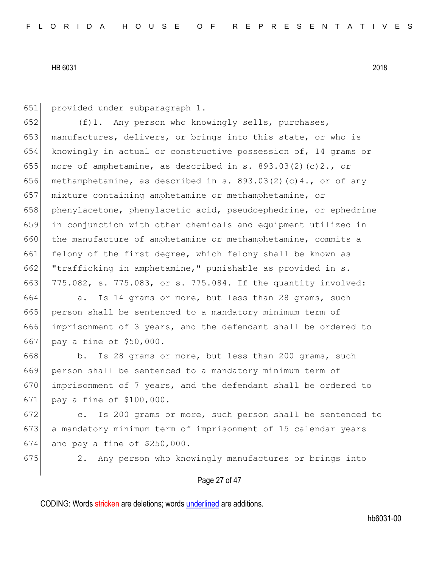651 provided under subparagraph 1.

652  $(f)$ 1. Any person who knowingly sells, purchases, 653 manufactures, delivers, or brings into this state, or who is 654 knowingly in actual or constructive possession of, 14 grams or 655 more of amphetamine, as described in s. 893.03(2)(c)2., or 656 methamphetamine, as described in s. 893.03(2)(c)4., or of any 657 mixture containing amphetamine or methamphetamine, or 658 phenylacetone, phenylacetic acid, pseudoephedrine, or ephedrine 659 in conjunction with other chemicals and equipment utilized in 660 the manufacture of amphetamine or methamphetamine, commits a 661 felony of the first degree, which felony shall be known as 662 "trafficking in amphetamine," punishable as provided in s. 663 775.082, s. 775.083, or s. 775.084. If the quantity involved:

664 a. Is 14 grams or more, but less than 28 grams, such 665 person shall be sentenced to a mandatory minimum term of 666 imprisonment of 3 years, and the defendant shall be ordered to 667 pay a fine of \$50,000.

668 b. Is 28 grams or more, but less than 200 grams, such 669 person shall be sentenced to a mandatory minimum term of 670 imprisonment of 7 years, and the defendant shall be ordered to 671 pay a fine of \$100,000.

672 c. Is 200 grams or more, such person shall be sentenced to 673 a mandatory minimum term of imprisonment of 15 calendar years  $674$  and pay a fine of \$250,000.

675 2. Any person who knowingly manufactures or brings into

## Page 27 of 47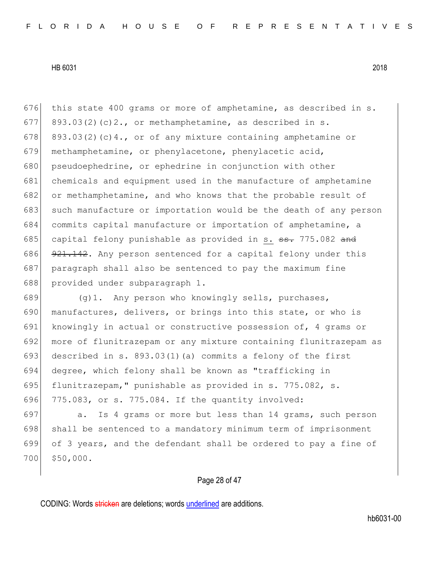676 this state 400 grams or more of amphetamine, as described in s. 677 893.03(2)(c)2., or methamphetamine, as described in s. 678 893.03(2)(c)4., or of any mixture containing amphetamine or 679 methamphetamine, or phenylacetone, phenylacetic acid, 680 pseudoephedrine, or ephedrine in conjunction with other 681 chemicals and equipment used in the manufacture of amphetamine 682 or methamphetamine, and who knows that the probable result of 683 such manufacture or importation would be the death of any person 684 commits capital manufacture or importation of amphetamine, a 685 capital felony punishable as provided in s.  $\frac{1}{100}$  and 686  $921.142$ . Any person sentenced for a capital felony under this 687 paragraph shall also be sentenced to pay the maximum fine 688 provided under subparagraph 1.

689 (g)1. Any person who knowingly sells, purchases, 690 manufactures, delivers, or brings into this state, or who is 691 knowingly in actual or constructive possession of, 4 grams or 692 more of flunitrazepam or any mixture containing flunitrazepam as 693 described in s. 893.03(1)(a) commits a felony of the first 694 degree, which felony shall be known as "trafficking in 695 flunitrazepam," punishable as provided in s. 775.082, s. 696 775.083, or s. 775.084. If the quantity involved:

697 a. Is 4 grams or more but less than 14 grams, such person 698 shall be sentenced to a mandatory minimum term of imprisonment 699 of 3 years, and the defendant shall be ordered to pay a fine of 700 \$50,000.

## Page 28 of 47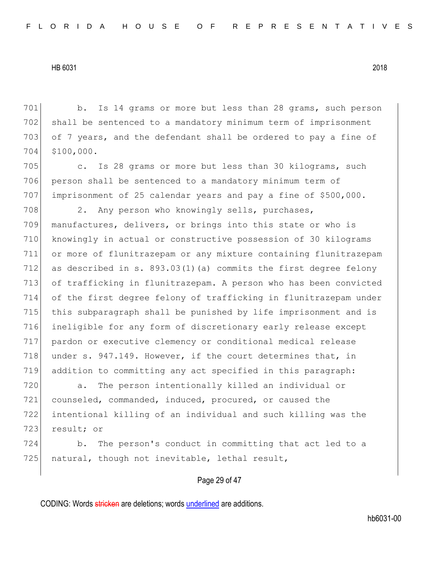701 b. Is 14 grams or more but less than 28 grams, such person 702 shall be sentenced to a mandatory minimum term of imprisonment 703 of 7 years, and the defendant shall be ordered to pay a fine of 704 \$100,000.

705 c. Is 28 grams or more but less than 30 kilograms, such 706 person shall be sentenced to a mandatory minimum term of 707 imprisonment of 25 calendar years and pay a fine of \$500,000.

708 2. Any person who knowingly sells, purchases, manufactures, delivers, or brings into this state or who is knowingly in actual or constructive possession of 30 kilograms or more of flunitrazepam or any mixture containing flunitrazepam 712 as described in s.  $893.03(1)$  (a) commits the first degree felony 713 of trafficking in flunitrazepam. A person who has been convicted of the first degree felony of trafficking in flunitrazepam under this subparagraph shall be punished by life imprisonment and is ineligible for any form of discretionary early release except pardon or executive clemency or conditional medical release 718 under s. 947.149. However, if the court determines that, in addition to committing any act specified in this paragraph:

 a. The person intentionally killed an individual or counseled, commanded, induced, procured, or caused the intentional killing of an individual and such killing was the 723 result; or

724 b. The person's conduct in committing that act led to a 725 natural, though not inevitable, lethal result,

## Page 29 of 47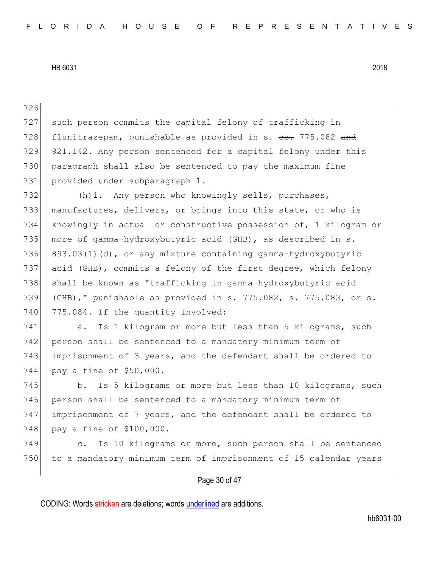726 727 such person commits the capital felony of trafficking in 728 flunitrazepam, punishable as provided in s. <del>ss.</del> 775.082 and 729 921.142. Any person sentenced for a capital felony under this 730 paragraph shall also be sentenced to pay the maximum fine 731 provided under subparagraph 1. 732 (h)1. Any person who knowingly sells, purchases, 733 manufactures, delivers, or brings into this state, or who is 734 knowingly in actual or constructive possession of, 1 kilogram or 735 more of gamma-hydroxybutyric acid (GHB), as described in s. 736 893.03(1)(d), or any mixture containing gamma-hydroxybutyric 737 acid (GHB), commits a felony of the first degree, which felony 738 shall be known as "trafficking in gamma-hydroxybutyric acid 739 (GHB)," punishable as provided in s. 775.082, s. 775.083, or s. 740 775.084. If the quantity involved: 741 a. Is 1 kilogram or more but less than 5 kilograms, such 742 person shall be sentenced to a mandatory minimum term of 743 imprisonment of 3 years, and the defendant shall be ordered to 744 pay a fine of \$50,000. 745 b. Is 5 kilograms or more but less than 10 kilograms, such 746 person shall be sentenced to a mandatory minimum term of 747 imprisonment of 7 years, and the defendant shall be ordered to 748 pay a fine of \$100,000. 749 c. Is 10 kilograms or more, such person shall be sentenced 750 to a mandatory minimum term of imprisonment of 15 calendar years

# Page 30 of 47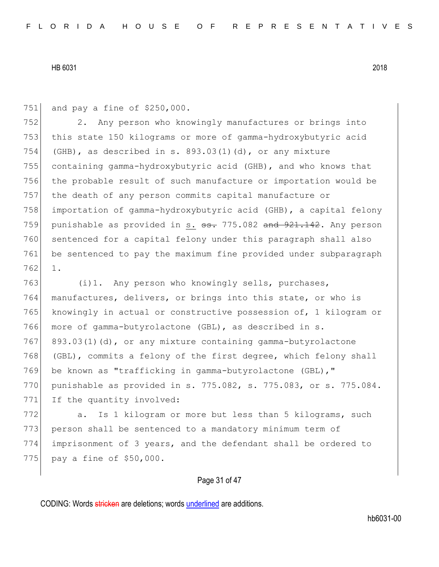751 and pay a fine of \$250,000.

 2. Any person who knowingly manufactures or brings into this state 150 kilograms or more of gamma-hydroxybutyric acid 754 (GHB), as described in s.  $893.03(1)(d)$ , or any mixture containing gamma-hydroxybutyric acid (GHB), and who knows that 756 the probable result of such manufacture or importation would be the death of any person commits capital manufacture or importation of gamma-hydroxybutyric acid (GHB), a capital felony 759 punishable as provided in s.  $\texttt{s}$ . 775.082 and 921.142. Any person sentenced for a capital felony under this paragraph shall also be sentenced to pay the maximum fine provided under subparagraph 762 1.

763 (i)1. Any person who knowingly sells, purchases, 764 manufactures, delivers, or brings into this state, or who is 765 knowingly in actual or constructive possession of, 1 kilogram or 766 more of gamma-butyrolactone (GBL), as described in s. 767 893.03(1)(d), or any mixture containing gamma-butyrolactone 768 (GBL), commits a felony of the first degree, which felony shall 769 be known as "trafficking in gamma-butyrolactone (GBL), " 770 punishable as provided in s. 775.082, s. 775.083, or s. 775.084. 771 If the quantity involved:

772 a. Is 1 kilogram or more but less than 5 kilograms, such 773 person shall be sentenced to a mandatory minimum term of 774 imprisonment of 3 years, and the defendant shall be ordered to 775 pay a fine of \$50,000.

## Page 31 of 47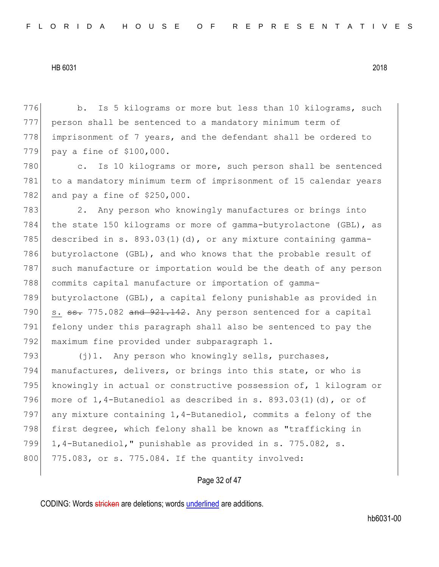776 b. Is 5 kilograms or more but less than 10 kilograms, such 777 person shall be sentenced to a mandatory minimum term of 778 imprisonment of 7 years, and the defendant shall be ordered to 779 pay a fine of \$100,000.

780 c. Is 10 kilograms or more, such person shall be sentenced 781 to a mandatory minimum term of imprisonment of 15 calendar years 782 and pay a fine of \$250,000.

783 2. Any person who knowingly manufactures or brings into 784 the state 150 kilograms or more of gamma-butyrolactone (GBL), as 785 described in s.  $893.03(1)(d)$ , or any mixture containing gamma-786 butyrolactone (GBL), and who knows that the probable result of 787 such manufacture or importation would be the death of any person 788 commits capital manufacture or importation of gamma-789 butyrolactone (GBL), a capital felony punishable as provided in 790  $\vert$  s.  $\frac{1}{35}$ , 775.082 and  $\frac{921.142}{1.42}$ . Any person sentenced for a capital 791 felony under this paragraph shall also be sentenced to pay the 792 maximum fine provided under subparagraph 1.

 $(j)$ 1. Any person who knowingly sells, purchases, manufactures, delivers, or brings into this state, or who is knowingly in actual or constructive possession of, 1 kilogram or 796 more of  $1,4$ -Butanediol as described in s. 893.03(1)(d), or of any mixture containing 1,4-Butanediol, commits a felony of the 798 first degree, which felony shall be known as "trafficking in 1,4-Butanediol," punishable as provided in s. 775.082, s. 800 775.083, or s. 775.084. If the quantity involved:

## Page 32 of 47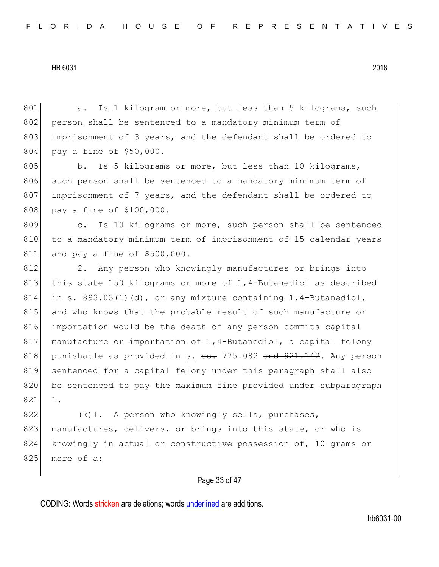801 a. Is 1 kilogram or more, but less than 5 kilograms, such 802 person shall be sentenced to a mandatory minimum term of 803 imprisonment of 3 years, and the defendant shall be ordered to 804 pay a fine of \$50,000. 805 b. Is 5 kilograms or more, but less than 10 kilograms, 806 such person shall be sentenced to a mandatory minimum term of 807 imprisonment of 7 years, and the defendant shall be ordered to 808 pay a fine of \$100,000. 809 c. Is 10 kilograms or more, such person shall be sentenced 810 to a mandatory minimum term of imprisonment of 15 calendar years 811 and pay a fine of \$500,000. 812 2. Any person who knowingly manufactures or brings into 813 this state 150 kilograms or more of 1,4-Butanediol as described 814 in s. 893.03(1)(d), or any mixture containing  $1,4$ -Butanediol, 815 and who knows that the probable result of such manufacture or 816 importation would be the death of any person commits capital 817 manufacture or importation of 1,4-Butanediol, a capital felony 818 punishable as provided in s.  $\frac{1}{100}$  and  $\frac{1}{100}$  and  $\frac{1}{100}$  any person 819 sentenced for a capital felony under this paragraph shall also 820 be sentenced to pay the maximum fine provided under subparagraph 821 1. 822  $(k)$ 1. A person who knowingly sells, purchases, 823 manufactures, delivers, or brings into this state, or who is 824 knowingly in actual or constructive possession of, 10 grams or 825 more of a:

# Page 33 of 47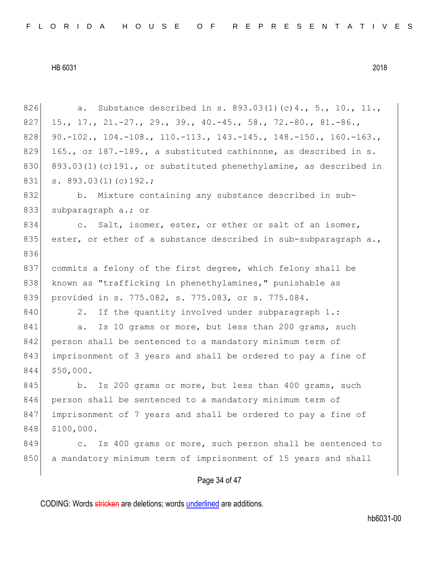| 826 | Substance described in s. $893.03(1)(c)4., 5., 10., 11.,$<br>а.           |
|-----|---------------------------------------------------------------------------|
| 827 | 15., 17., 21.-27., 29., 39., 40.-45., 58., 72.-80., 81.-86.,              |
| 828 | 90.-102., 104.-108., 110.-113., 143.-145., 148.-150., 160.-163.,          |
| 829 | 165., or 187.-189., a substituted cathinone, as described in s.           |
| 830 | 893.03(1)(c)191., or substituted phenethylamine, as described in          |
| 831 | s. $893.03(1)(c)192.$ ;                                                   |
| 832 | b. Mixture containing any substance described in sub-                     |
| 833 | subparagraph a.; or                                                       |
| 834 | c. Salt, isomer, ester, or ether or salt of an isomer,                    |
| 835 | ester, or ether of a substance described in sub-subparagraph a.,          |
| 836 |                                                                           |
| 837 | commits a felony of the first degree, which felony shall be               |
| 838 | known as "trafficking in phenethylamines," punishable as                  |
| 839 | provided in s. 775.082, s. 775.083, or s. 775.084.                        |
| 840 | If the quantity involved under subparagraph 1.:<br>2.                     |
| 841 | Is 10 grams or more, but less than 200 grams, such<br>a.                  |
| 842 | person shall be sentenced to a mandatory minimum term of                  |
| 843 | imprisonment of 3 years and shall be ordered to pay a fine of             |
| 844 | \$50,000.                                                                 |
| 845 | Is 200 grams or more, but less than 400 grams, such<br>b.                 |
| 846 | person shall be sentenced to a mandatory minimum term of                  |
| 847 | imprisonment of 7 years and shall be ordered to pay a fine of             |
| 848 | \$100,000.                                                                |
| 849 | Is 400 grams or more, such person shall be sentenced to<br>$\mathsf{C}$ . |
| 850 | a mandatory minimum term of imprisonment of 15 years and shall            |
|     | Page 34 of 47                                                             |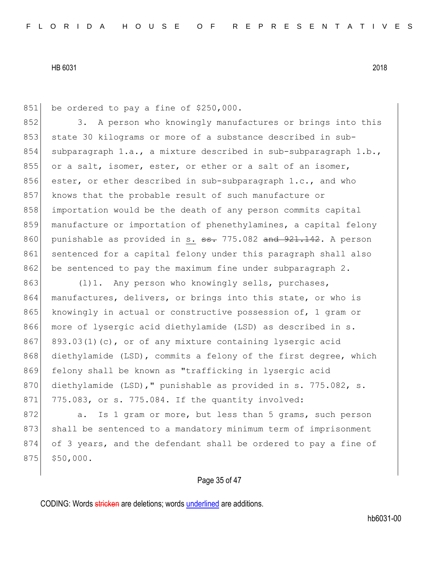851 be ordered to pay a fine of \$250,000.

852 3. A person who knowingly manufactures or brings into this 853 state 30 kilograms or more of a substance described in sub-854 subparagraph 1.a., a mixture described in sub-subparagraph 1.b., 855 or a salt, isomer, ester, or ether or a salt of an isomer, 856 ester, or ether described in sub-subparagraph 1.c., and who 857 knows that the probable result of such manufacture or 858 importation would be the death of any person commits capital 859 manufacture or importation of phenethylamines, a capital felony 860 punishable as provided in s.  $\frac{1}{100}$  and  $\frac{1}{21}$ ,  $\frac{1}{100}$  and  $\frac{1}{21}$ . A person 861 sentenced for a capital felony under this paragraph shall also 862 be sentenced to pay the maximum fine under subparagraph 2.

863 (1)1. Any person who knowingly sells, purchases, 864 manufactures, delivers, or brings into this state, or who is 865 knowingly in actual or constructive possession of, 1 gram or 866 more of lysergic acid diethylamide (LSD) as described in s. 867 893.03(1)(c), or of any mixture containing lysergic acid 868 diethylamide (LSD), commits a felony of the first degree, which 869 felony shall be known as "trafficking in lysergic acid 870 diethylamide (LSD)," punishable as provided in s. 775.082, s. 871 775.083, or s. 775.084. If the quantity involved:

872 a. Is 1 gram or more, but less than 5 grams, such person 873 shall be sentenced to a mandatory minimum term of imprisonment 874 of 3 years, and the defendant shall be ordered to pay a fine of  $875$   $$50,000$ .

## Page 35 of 47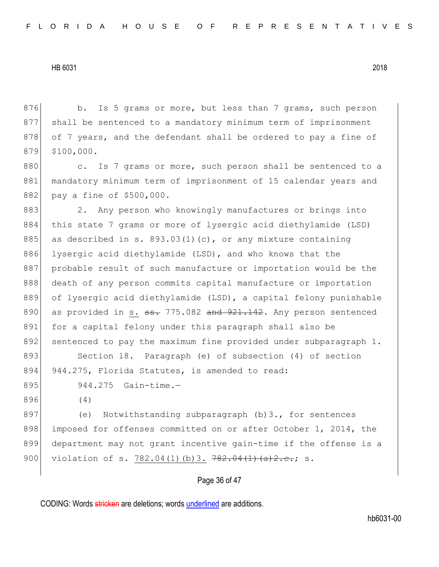Page 36 of 47 876 b. Is 5 grams or more, but less than 7 grams, such person 877 shall be sentenced to a mandatory minimum term of imprisonment 878 of 7 years, and the defendant shall be ordered to pay a fine of 879 \$100,000. 880 c. Is 7 grams or more, such person shall be sentenced to a 881 | mandatory minimum term of imprisonment of 15 calendar years and 882 pay a fine of \$500,000. 883 2. Any person who knowingly manufactures or brings into 884 this state 7 grams or more of lysergic acid diethylamide (LSD) 885 as described in s. 893.03(1)(c), or any mixture containing 886 lysergic acid diethylamide (LSD), and who knows that the 887 probable result of such manufacture or importation would be the 888 death of any person commits capital manufacture or importation 889 of lysergic acid diethylamide (LSD), a capital felony punishable 890 as provided in s.  $\frac{1}{100}$  and  $\frac{1}{100}$  as provided in s.  $\frac{1}{100}$  as provided in s.  $\frac{1}{100}$  as  $\frac{1}{100}$  as provided in s.  $\frac{1}{100}$  as  $\frac{1}{100}$  as provided in s.  $\frac{1}{100}$  as  $\frac{1}{100}$  as  $\frac$ 891 for a capital felony under this paragraph shall also be 892 sentenced to pay the maximum fine provided under subparagraph 1. 893 Section 18. Paragraph (e) of subsection (4) of section 894 944.275, Florida Statutes, is amended to read: 895 944.275 Gain-time. 896 (4) 897 (e) Notwithstanding subparagraph (b)3., for sentences 898 imposed for offenses committed on or after October 1, 2014, the 899 department may not grant incentive gain-time if the offense is a 900 violation of s. 782.04(1)(b)3. 782.04(1)(a)2.c.; s.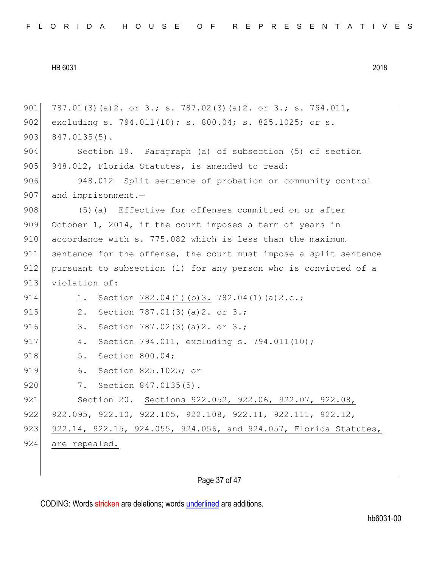| 901 | 787.01(3)(a)2. or 3.; s. 787.02(3)(a)2. or 3.; s. 794.011,       |
|-----|------------------------------------------------------------------|
| 902 | excluding s. 794.011(10); s. 800.04; s. 825.1025; or s.          |
| 903 | $847.0135(5)$ .                                                  |
| 904 | Section 19. Paragraph (a) of subsection (5) of section           |
| 905 | 948.012, Florida Statutes, is amended to read:                   |
| 906 | 948.012 Split sentence of probation or community control         |
| 907 | and imprisonment.-                                               |
| 908 | Effective for offenses committed on or after<br>$(5)$ (a)        |
| 909 | October 1, 2014, if the court imposes a term of years in         |
| 910 | accordance with s. 775.082 which is less than the maximum        |
| 911 | sentence for the offense, the court must impose a split sentence |
| 912 | pursuant to subsection (1) for any person who is convicted of a  |
| 913 | violation of:                                                    |
| 914 | Section 782.04(1)(b)3. $782.04(1)(a)2.c.;$<br>1.                 |
| 915 | 2.<br>Section 787.01(3)(a)2. or 3.;                              |
| 916 | 3.<br>Section 787.02(3)(a)2. or 3.;                              |
| 917 | Section 794.011, excluding s. 794.011(10);<br>4.                 |
| 918 | Section 800.04;<br>5.                                            |
| 919 | 6.<br>Section 825.1025; or                                       |
| 920 | 7. Section 847.0135(5).                                          |
| 921 | Section 20. Sections 922.052, 922.06, 922.07, 922.08,            |
| 922 | 922.095, 922.10, 922.105, 922.108, 922.11, 922.111, 922.12,      |
| 923 | 922.14, 922.15, 924.055, 924.056, and 924.057, Florida Statutes, |
| 924 | are repealed.                                                    |
|     |                                                                  |

# Page 37 of 47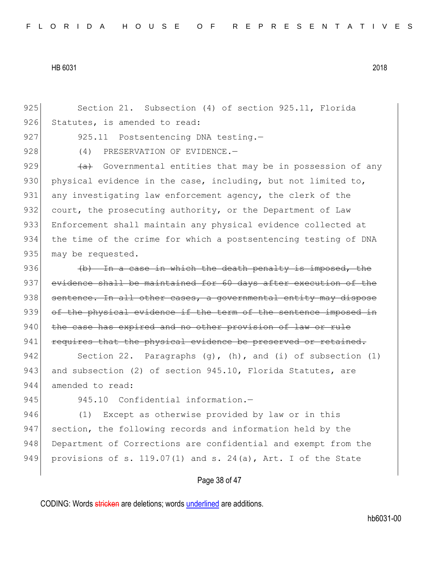925 Section 21. Subsection (4) of section 925.11, Florida 926 Statutes, is amended to read:

927 925.11 Postsentencing DNA testing.-

928 (4) PRESERVATION OF EVIDENCE.

929  $\leftarrow$  Governmental entities that may be in possession of any 930 physical evidence in the case, including, but not limited to, 931 any investigating law enforcement agency, the clerk of the 932 court, the prosecuting authority, or the Department of Law 933 Enforcement shall maintain any physical evidence collected at 934 the time of the crime for which a postsentencing testing of DNA 935 may be requested.

936  $\left(\phi\right)$  In a case in which the death penalty is imposed, the 937 evidence shall be maintained for 60 days after execution of the 938 sentence. In all other cases, a governmental entity may dispose 939 of the physical evidence if the term of the sentence imposed in 940 the case has expired and no other provision of law or rule 941 requires that the physical evidence be preserved or retained.

942 Section 22. Paragraphs  $(q)$ ,  $(h)$ , and  $(i)$  of subsection  $(1)$ 943 and subsection (2) of section 945.10, Florida Statutes, are 944 amended to read:

945 945.10 Confidential information.-

946 (1) Except as otherwise provided by law or in this 947 section, the following records and information held by the 948 Department of Corrections are confidential and exempt from the 949 provisions of s. 119.07(1) and s. 24(a), Art. I of the State

## Page 38 of 47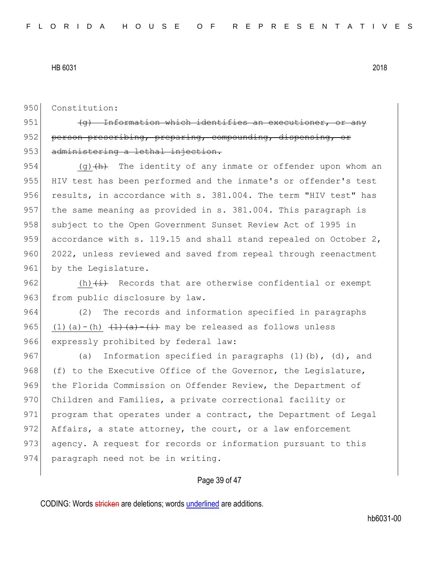950 Constitution:

951  $(q)$  Information which identifies an execution 952 person prescribing, preparing, compounding, dispensing, 953 administering a lethal injection.

954 (g) $\frac{h}{h}$  The identity of any inmate or offender upon whom an 955 HIV test has been performed and the inmate's or offender's test 956 results, in accordance with s. 381.004. The term "HIV test" has 957 the same meaning as provided in s. 381.004. This paragraph is 958 subject to the Open Government Sunset Review Act of 1995 in 959 accordance with s. 119.15 and shall stand repealed on October 2, 960 2022, unless reviewed and saved from repeal through reenactment 961 by the Legislature.

962  $(h)$   $(i)$  Records that are otherwise confidential or exempt 963 from public disclosure by law.

964 (2) The records and information specified in paragraphs 965 (1)(a)-(h)  $(1)(a)$ -(i) may be released as follows unless 966 expressly prohibited by federal law:

967 (a) Information specified in paragraphs  $(1)$  (b),  $(d)$ , and 968 (f) to the Executive Office of the Governor, the Legislature, 969 the Florida Commission on Offender Review, the Department of 970 Children and Families, a private correctional facility or 971 program that operates under a contract, the Department of Legal 972 Affairs, a state attorney, the court, or a law enforcement 973 agency. A request for records or information pursuant to this 974 paragraph need not be in writing.

## Page 39 of 47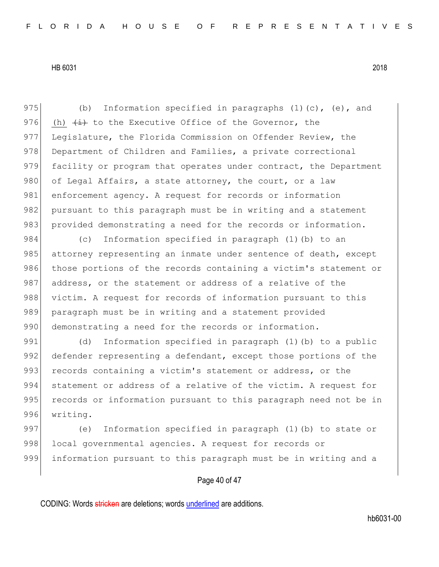975 (b) Information specified in paragraphs  $(1)(c)$ ,  $(e)$ , and 976 (h)  $\leftrightarrow$  to the Executive Office of the Governor, the 977 Legislature, the Florida Commission on Offender Review, the 978 Department of Children and Families, a private correctional 979 facility or program that operates under contract, the Department 980 of Legal Affairs, a state attorney, the court, or a law 981 enforcement agency. A request for records or information 982 pursuant to this paragraph must be in writing and a statement 983 provided demonstrating a need for the records or information.

984 (c) Information specified in paragraph (1)(b) to an 985 attorney representing an inmate under sentence of death, except 986 those portions of the records containing a victim's statement or 987 address, or the statement or address of a relative of the 988 victim. A request for records of information pursuant to this 989 paragraph must be in writing and a statement provided 990 demonstrating a need for the records or information.

991 (d) Information specified in paragraph (1)(b) to a public 992 defender representing a defendant, except those portions of the 993 records containing a victim's statement or address, or the 994 statement or address of a relative of the victim. A request for 995 records or information pursuant to this paragraph need not be in 996 writing.

997 (e) Information specified in paragraph (1)(b) to state or 998 local governmental agencies. A request for records or 999 information pursuant to this paragraph must be in writing and a

## Page 40 of 47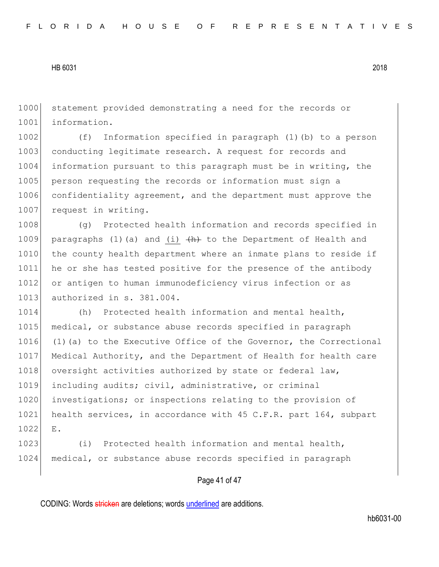1000 statement provided demonstrating a need for the records or 1001 information.

1002 (f) Information specified in paragraph (1)(b) to a person 1003 conducting legitimate research. A request for records and 1004 information pursuant to this paragraph must be in writing, the 1005 person requesting the records or information must sign a 1006 confidentiality agreement, and the department must approve the 1007 request in writing.

1008 (g) Protected health information and records specified in 1009 paragraphs (1)(a) and (i)  $\{h\}$  to the Department of Health and 1010 the county health department where an inmate plans to reside if 1011 he or she has tested positive for the presence of the antibody 1012 or antigen to human immunodeficiency virus infection or as 1013 authorized in s. 381.004.

1014 (h) Protected health information and mental health, 1015 medical, or substance abuse records specified in paragraph 1016 (1)(a) to the Executive Office of the Governor, the Correctional 1017 Medical Authority, and the Department of Health for health care 1018 oversight activities authorized by state or federal law, 1019 including audits; civil, administrative, or criminal 1020 investigations; or inspections relating to the provision of 1021 health services, in accordance with 45 C.F.R. part 164, subpart 1022 E.

1023 (i) Protected health information and mental health, 1024 medical, or substance abuse records specified in paragraph

## Page 41 of 47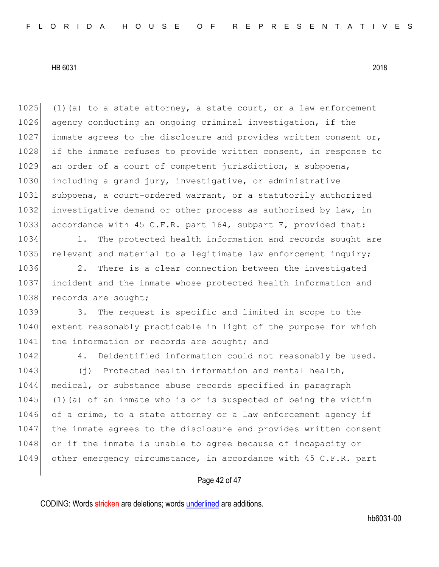1025 (1)(a) to a state attorney, a state court, or a law enforcement 1026 agency conducting an ongoing criminal investigation, if the 1027 inmate agrees to the disclosure and provides written consent or, 1028 if the inmate refuses to provide written consent, in response to 1029 an order of a court of competent jurisdiction, a subpoena, 1030 including a grand jury, investigative, or administrative 1031 subpoena, a court-ordered warrant, or a statutorily authorized 1032 investigative demand or other process as authorized by law, in 1033 accordance with 45 C.F.R. part 164, subpart E, provided that:

1034 1. The protected health information and records sought are 1035 relevant and material to a legitimate law enforcement inquiry;

1036 2. There is a clear connection between the investigated 1037 incident and the inmate whose protected health information and 1038 records are sought;

1039 3. The request is specific and limited in scope to the 1040 extent reasonably practicable in light of the purpose for which 1041 the information or records are sought; and

1042 4. Deidentified information could not reasonably be used.

1043 (j) Protected health information and mental health, 1044 medical, or substance abuse records specified in paragraph  $1045$  (1)(a) of an inmate who is or is suspected of being the victim 1046 of a crime, to a state attorney or a law enforcement agency if 1047 the inmate agrees to the disclosure and provides written consent 1048 or if the inmate is unable to agree because of incapacity or 1049 other emergency circumstance, in accordance with 45 C.F.R. part

## Page 42 of 47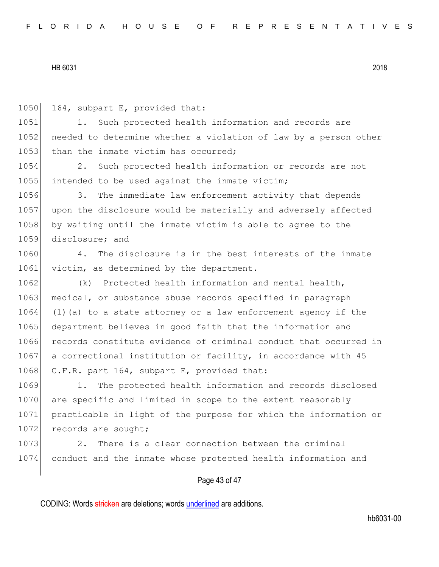1050 164, subpart E, provided that:

1051 1. Such protected health information and records are 1052 needed to determine whether a violation of law by a person other 1053 than the inmate victim has occurred: 1054 2. Such protected health information or records are not 1055 intended to be used against the inmate victim; 1056 3. The immediate law enforcement activity that depends 1057 upon the disclosure would be materially and adversely affected 1058 by waiting until the inmate victim is able to agree to the 1059 disclosure; and 1060 4. The disclosure is in the best interests of the inmate 1061 victim, as determined by the department. 1062 (k) Protected health information and mental health, 1063 medical, or substance abuse records specified in paragraph  $1064$  (1)(a) to a state attorney or a law enforcement agency if the 1065 department believes in good faith that the information and 1066 records constitute evidence of criminal conduct that occurred in 1067 a correctional institution or facility, in accordance with 45 1068 C.F.R. part 164, subpart E, provided that: 1069 1. The protected health information and records disclosed

1070 are specific and limited in scope to the extent reasonably 1071 practicable in light of the purpose for which the information or 1072 records are sought;

1073 2. There is a clear connection between the criminal 1074 conduct and the inmate whose protected health information and

## Page 43 of 47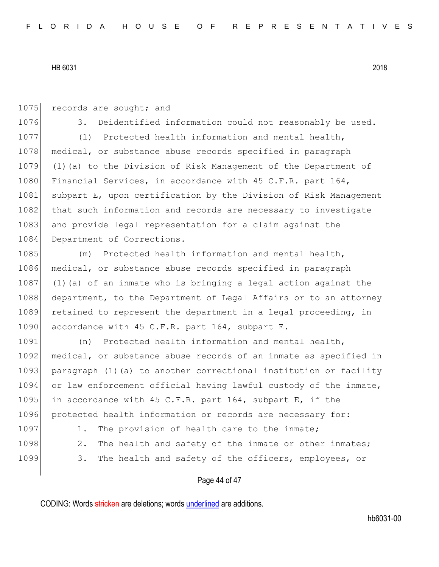1075 records are sought; and 1076 3. Deidentified information could not reasonably be used. 1077 (1) Protected health information and mental health, 1078 medical, or substance abuse records specified in paragraph 1079 (1)(a) to the Division of Risk Management of the Department of 1080 Financial Services, in accordance with 45 C.F.R. part 164, 1081 subpart E, upon certification by the Division of Risk Management 1082 that such information and records are necessary to investigate 1083 and provide legal representation for a claim against the 1084 Department of Corrections. 1085 (m) Protected health information and mental health, 1086 medical, or substance abuse records specified in paragraph 1087 (1)(a) of an inmate who is bringing a legal action against the 1088 department, to the Department of Legal Affairs or to an attorney 1089 retained to represent the department in a legal proceeding, in 1090 accordance with 45 C.F.R. part 164, subpart E. 1091 (n) Protected health information and mental health,

1092 medical, or substance abuse records of an inmate as specified in 1093 paragraph (1)(a) to another correctional institution or facility 1094 or law enforcement official having lawful custody of the inmate, 1095 in accordance with 45 C.F.R. part 164, subpart E, if the 1096 protected health information or records are necessary for:

- 
- 1097 1. The provision of health care to the inmate;
- 1098 2. The health and safety of the inmate or other inmates;
- 1099 3. The health and safety of the officers, employees, or

# Page 44 of 47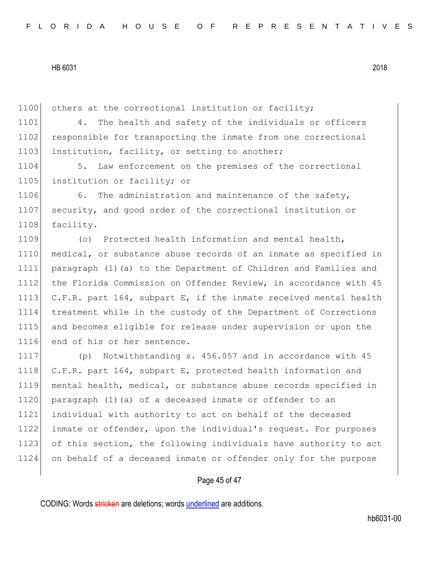1100 others at the correctional institution or facility;

1101 4. The health and safety of the individuals or officers 1102 responsible for transporting the inmate from one correctional 1103 institution, facility, or setting to another;

1104 5. Law enforcement on the premises of the correctional 1105 institution or facility; or

1106 6. The administration and maintenance of the safety, 1107 security, and good order of the correctional institution or 1108 facility.

 (o) Protected health information and mental health, medical, or substance abuse records of an inmate as specified in paragraph (1)(a) to the Department of Children and Families and 1112 the Florida Commission on Offender Review, in accordance with 45 C.F.R. part 164, subpart E, if the inmate received mental health treatment while in the custody of the Department of Corrections and becomes eligible for release under supervision or upon the 1116 end of his or her sentence.

 (p) Notwithstanding s. 456.057 and in accordance with 45 1118 C.F.R. part 164, subpart E, protected health information and mental health, medical, or substance abuse records specified in 1120 paragraph (1) (a) of a deceased inmate or offender to an individual with authority to act on behalf of the deceased inmate or offender, upon the individual's request. For purposes of this section, the following individuals have authority to act on behalf of a deceased inmate or offender only for the purpose

## Page 45 of 47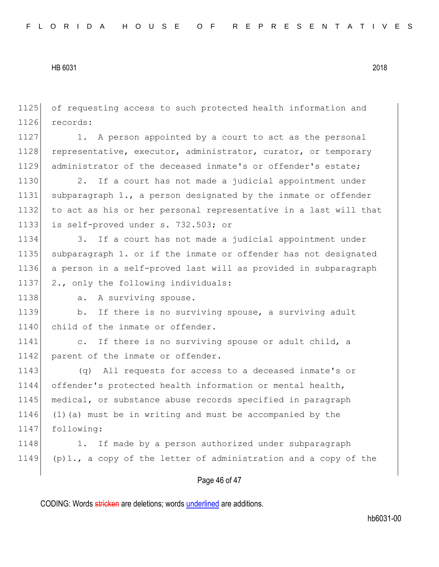1125 of requesting access to such protected health information and 1126 records:

1127 1. A person appointed by a court to act as the personal 1128 representative, executor, administrator, curator, or temporary 1129 administrator of the deceased inmate's or offender's estate;

1130 2. If a court has not made a judicial appointment under subparagraph 1., a person designated by the inmate or offender to act as his or her personal representative in a last will that is self-proved under s. 732.503; or

1134 3. If a court has not made a judicial appointment under 1135 subparagraph 1. or if the inmate or offender has not designated 1136 a person in a self-proved last will as provided in subparagraph 1137 2., only the following individuals:

1138 a. A surviving spouse.

1139 b. If there is no surviving spouse, a surviving adult 1140 child of the inmate or offender.

1141 c. If there is no surviving spouse or adult child, a 1142 parent of the inmate or offender.

 (q) All requests for access to a deceased inmate's or offender's protected health information or mental health, medical, or substance abuse records specified in paragraph (1)(a) must be in writing and must be accompanied by the following:

1148 1. If made by a person authorized under subparagraph 1149 (p)1., a copy of the letter of administration and a copy of the

## Page 46 of 47